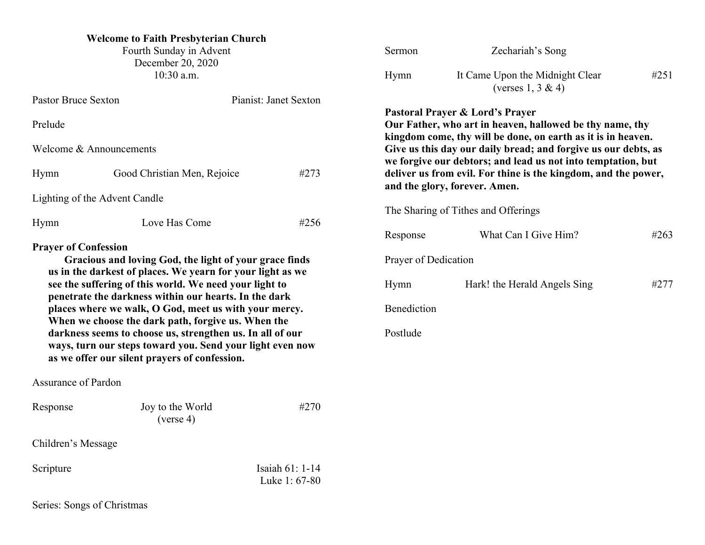| <b>Welcome to Faith Presbyterian Church</b><br>Fourth Sunday in Advent<br>December 20, 2020<br>$10:30$ a.m.                                                                                                                    |                                                                                                                                                                         |                                  | Sermon<br>Hymn                                                                                                                                                  | Zechariah's Song<br>It Came Upon the Midnight Clear<br>(verses $1, 3 \& 4$ ) | #251 |
|--------------------------------------------------------------------------------------------------------------------------------------------------------------------------------------------------------------------------------|-------------------------------------------------------------------------------------------------------------------------------------------------------------------------|----------------------------------|-----------------------------------------------------------------------------------------------------------------------------------------------------------------|------------------------------------------------------------------------------|------|
| <b>Pastor Bruce Sexton</b>                                                                                                                                                                                                     |                                                                                                                                                                         | Pianist: Janet Sexton            |                                                                                                                                                                 |                                                                              |      |
| Prelude                                                                                                                                                                                                                        |                                                                                                                                                                         |                                  | Pastoral Prayer & Lord's Prayer<br>Our Father, who art in heaven, hallowed be thy name, thy<br>kingdom come, thy will be done, on earth as it is in heaven.     |                                                                              |      |
| Welcome & Announcements                                                                                                                                                                                                        |                                                                                                                                                                         |                                  |                                                                                                                                                                 | Give us this day our daily bread; and forgive us our debts, as               |      |
| #273<br>Good Christian Men, Rejoice<br>Hymn                                                                                                                                                                                    |                                                                                                                                                                         |                                  | we forgive our debtors; and lead us not into temptation, but<br>deliver us from evil. For thine is the kingdom, and the power,<br>and the glory, forever. Amen. |                                                                              |      |
|                                                                                                                                                                                                                                | Lighting of the Advent Candle                                                                                                                                           |                                  |                                                                                                                                                                 |                                                                              |      |
| Hymn                                                                                                                                                                                                                           | Love Has Come                                                                                                                                                           | #256                             | The Sharing of Tithes and Offerings                                                                                                                             |                                                                              |      |
|                                                                                                                                                                                                                                |                                                                                                                                                                         |                                  | Response                                                                                                                                                        | What Can I Give Him?                                                         | #263 |
| <b>Prayer of Confession</b>                                                                                                                                                                                                    | Gracious and loving God, the light of your grace finds<br>us in the darkest of places. We yearn for your light as we                                                    |                                  | Prayer of Dedication                                                                                                                                            |                                                                              |      |
| see the suffering of this world. We need your light to<br>penetrate the darkness within our hearts. In the dark<br>places where we walk, O God, meet us with your mercy.<br>When we choose the dark path, forgive us. When the |                                                                                                                                                                         |                                  | Hymn                                                                                                                                                            | Hark! the Herald Angels Sing                                                 | #277 |
|                                                                                                                                                                                                                                |                                                                                                                                                                         |                                  | Benediction                                                                                                                                                     |                                                                              |      |
|                                                                                                                                                                                                                                | darkness seems to choose us, strengthen us. In all of our<br>ways, turn our steps toward you. Send your light even now<br>as we offer our silent prayers of confession. |                                  | Postlude                                                                                                                                                        |                                                                              |      |
| <b>Assurance of Pardon</b>                                                                                                                                                                                                     |                                                                                                                                                                         |                                  |                                                                                                                                                                 |                                                                              |      |
| Response                                                                                                                                                                                                                       | Joy to the World<br>(verse 4)                                                                                                                                           | #270                             |                                                                                                                                                                 |                                                                              |      |
| Children's Message                                                                                                                                                                                                             |                                                                                                                                                                         |                                  |                                                                                                                                                                 |                                                                              |      |
| Scripture                                                                                                                                                                                                                      |                                                                                                                                                                         | Isaiah 61: 1-14<br>Luke 1: 67-80 |                                                                                                                                                                 |                                                                              |      |
| Series: Songs of Christmas                                                                                                                                                                                                     |                                                                                                                                                                         |                                  |                                                                                                                                                                 |                                                                              |      |